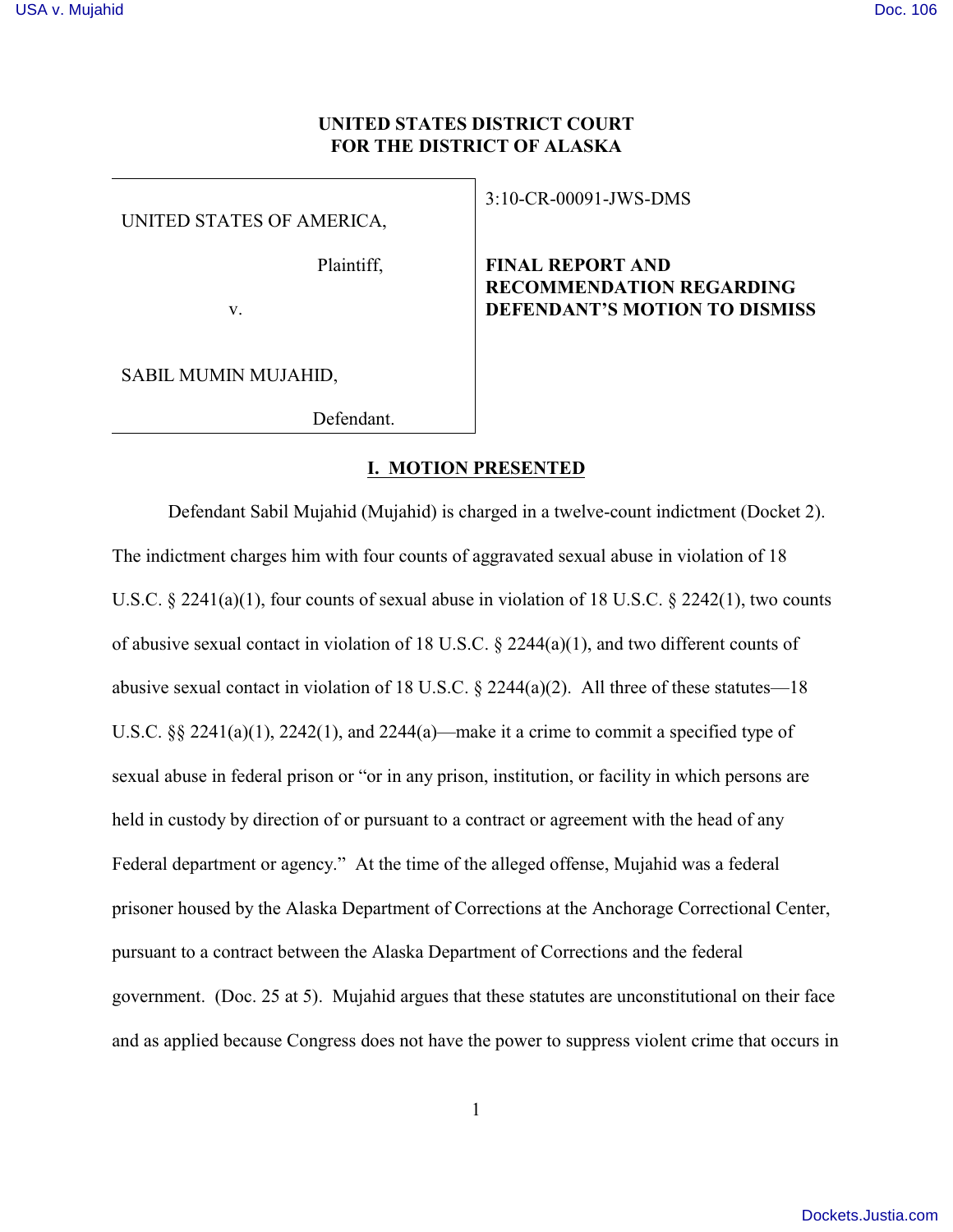# **UNITED STATES DISTRICT COURT FOR THE DISTRICT OF ALASKA**

UNITED STATES OF AMERICA,

Plaintiff,

v.

SABIL MUMIN MUJAHID,

Defendant.

# 3:10-CR-00091-JWS-DMS

**FINAL REPORT AND RECOMMENDATION REGARDING DEFENDANT'S MOTION TO DISMISS** 

## **I. MOTION PRESENTED**

Defendant Sabil Mujahid (Mujahid) is charged in a twelve-count indictment (Docket 2). The indictment charges him with four counts of aggravated sexual abuse in violation of 18 U.S.C. § 2241(a)(1), four counts of sexual abuse in violation of 18 U.S.C. § 2242(1), two counts of abusive sexual contact in violation of 18 U.S.C.  $\S$  2244(a)(1), and two different counts of abusive sexual contact in violation of 18 U.S.C. § 2244(a)(2). All three of these statutes—18 U.S.C. §§ 2241(a)(1), 2242(1), and 2244(a)—make it a crime to commit a specified type of sexual abuse in federal prison or "or in any prison, institution, or facility in which persons are held in custody by direction of or pursuant to a contract or agreement with the head of any Federal department or agency." At the time of the alleged offense, Mujahid was a federal prisoner housed by the Alaska Department of Corrections at the Anchorage Correctional Center, pursuant to a contract between the Alaska Department of Corrections and the federal government. (Doc. 25 at 5). Mujahid argues that these statutes are unconstitutional on their face and as applied because Congress does not have the power to suppress violent crime that occurs in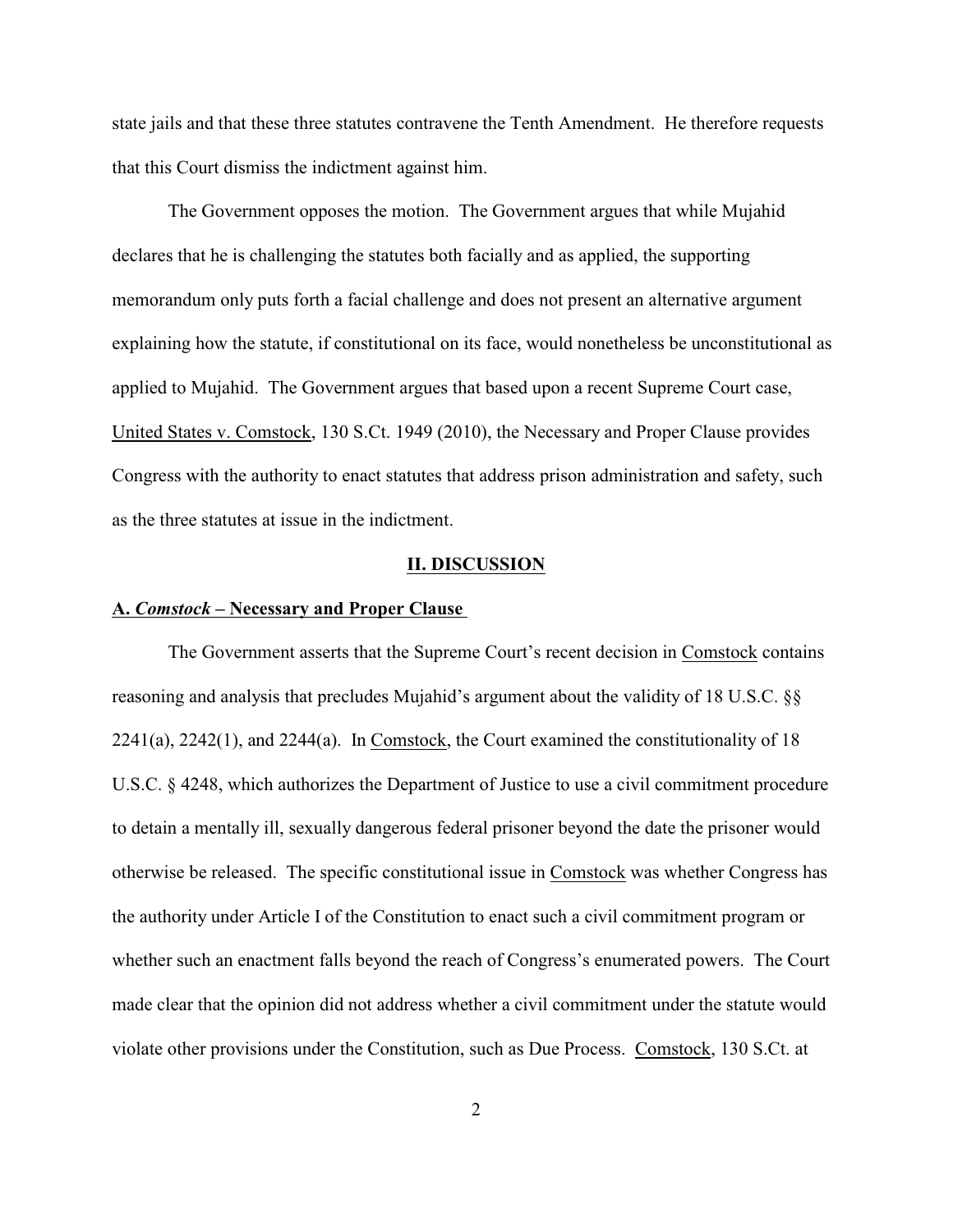state jails and that these three statutes contravene the Tenth Amendment. He therefore requests that this Court dismiss the indictment against him.

The Government opposes the motion. The Government argues that while Mujahid declares that he is challenging the statutes both facially and as applied, the supporting memorandum only puts forth a facial challenge and does not present an alternative argument explaining how the statute, if constitutional on its face, would nonetheless be unconstitutional as applied to Mujahid. The Government argues that based upon a recent Supreme Court case, United States v. Comstock, 130 S.Ct. 1949 (2010), the Necessary and Proper Clause provides Congress with the authority to enact statutes that address prison administration and safety, such as the three statutes at issue in the indictment.

### **II. DISCUSSION**

#### **A.** *Comstock* **– Necessary and Proper Clause**

The Government asserts that the Supreme Court's recent decision in Comstock contains reasoning and analysis that precludes Mujahid's argument about the validity of 18 U.S.C. §§ 2241(a), 2242(1), and 2244(a). In Comstock, the Court examined the constitutionality of 18 U.S.C. § 4248, which authorizes the Department of Justice to use a civil commitment procedure to detain a mentally ill, sexually dangerous federal prisoner beyond the date the prisoner would otherwise be released. The specific constitutional issue in Comstock was whether Congress has the authority under Article I of the Constitution to enact such a civil commitment program or whether such an enactment falls beyond the reach of Congress's enumerated powers. The Court made clear that the opinion did not address whether a civil commitment under the statute would violate other provisions under the Constitution, such as Due Process. Comstock, 130 S.Ct. at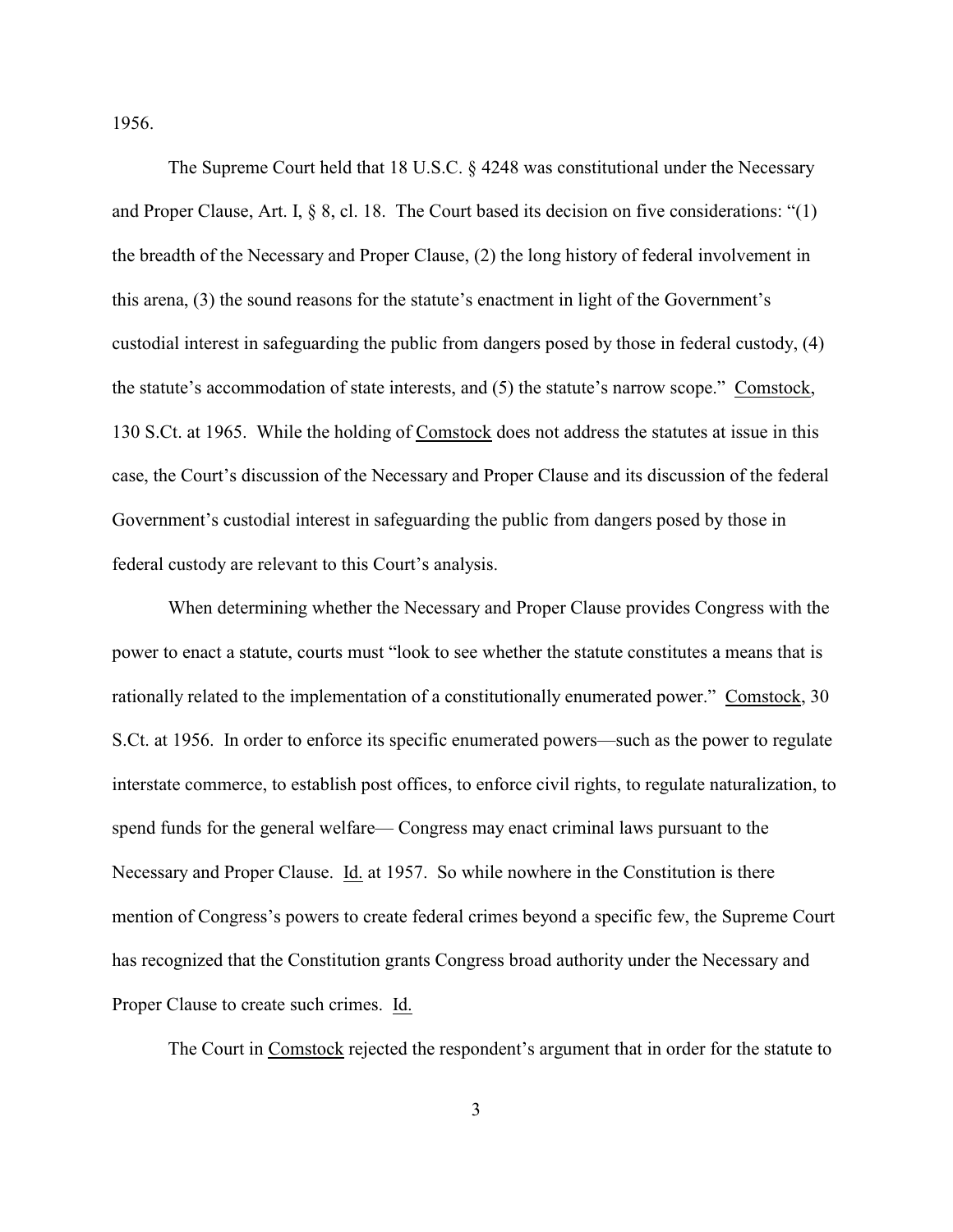1956.

The Supreme Court held that 18 U.S.C. § 4248 was constitutional under the Necessary and Proper Clause, Art. I, § 8, cl. 18. The Court based its decision on five considerations: "(1) the breadth of the Necessary and Proper Clause, (2) the long history of federal involvement in this arena, (3) the sound reasons for the statute's enactment in light of the Government's custodial interest in safeguarding the public from dangers posed by those in federal custody, (4) the statute's accommodation of state interests, and (5) the statute's narrow scope." Comstock, 130 S.Ct. at 1965. While the holding of Comstock does not address the statutes at issue in this case, the Court's discussion of the Necessary and Proper Clause and its discussion of the federal Government's custodial interest in safeguarding the public from dangers posed by those in federal custody are relevant to this Court's analysis.

When determining whether the Necessary and Proper Clause provides Congress with the power to enact a statute, courts must "look to see whether the statute constitutes a means that is rationally related to the implementation of a constitutionally enumerated power." Comstock, 30 S.Ct. at 1956. In order to enforce its specific enumerated powers—such as the power to regulate interstate commerce, to establish post offices, to enforce civil rights, to regulate naturalization, to spend funds for the general welfare— Congress may enact criminal laws pursuant to the Necessary and Proper Clause. Id. at 1957. So while nowhere in the Constitution is there mention of Congress's powers to create federal crimes beyond a specific few, the Supreme Court has recognized that the Constitution grants Congress broad authority under the Necessary and Proper Clause to create such crimes. Id.

The Court in Comstock rejected the respondent's argument that in order for the statute to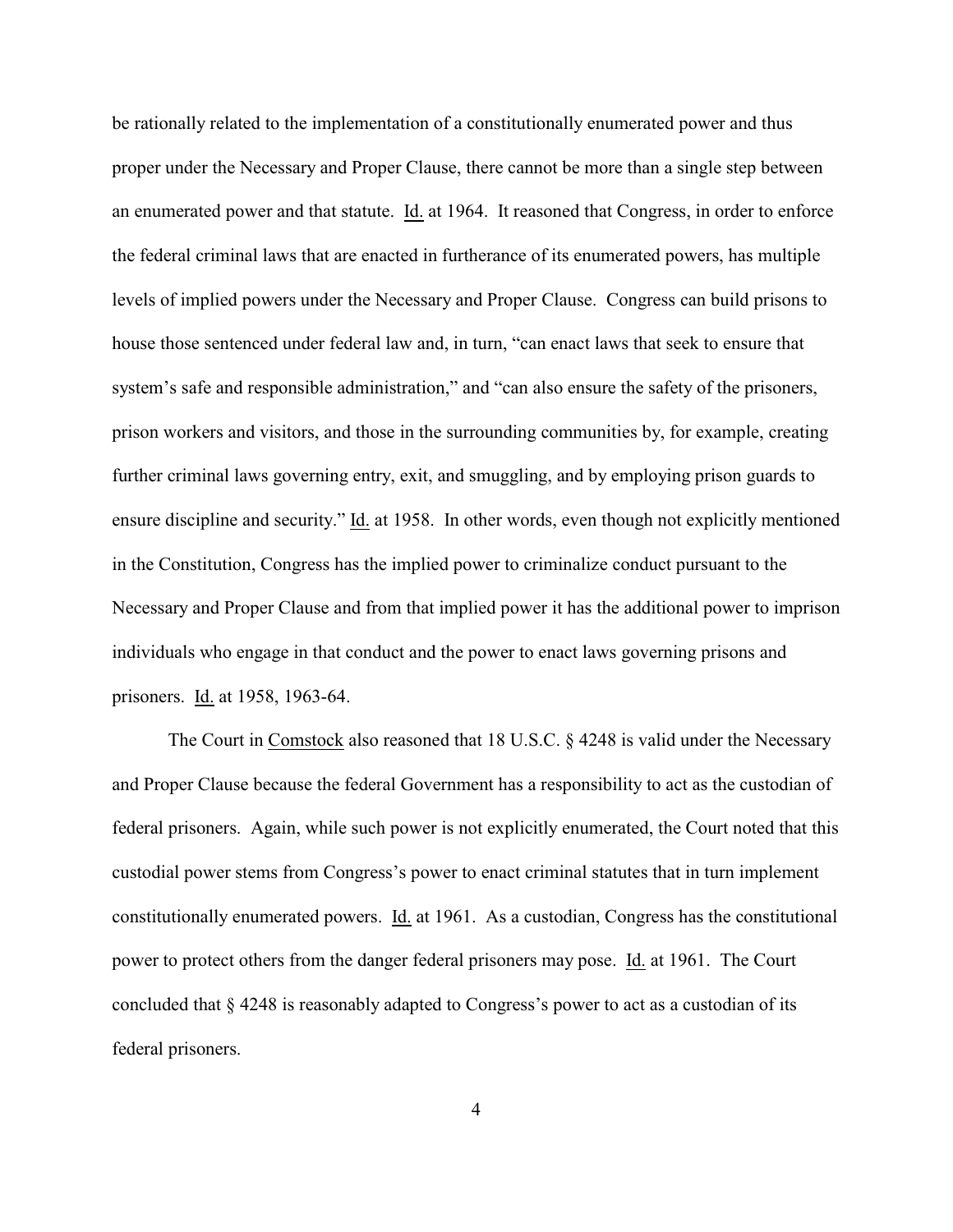be rationally related to the implementation of a constitutionally enumerated power and thus proper under the Necessary and Proper Clause, there cannot be more than a single step between an enumerated power and that statute. Id. at 1964. It reasoned that Congress, in order to enforce the federal criminal laws that are enacted in furtherance of its enumerated powers, has multiple levels of implied powers under the Necessary and Proper Clause. Congress can build prisons to house those sentenced under federal law and, in turn, "can enact laws that seek to ensure that system's safe and responsible administration," and "can also ensure the safety of the prisoners, prison workers and visitors, and those in the surrounding communities by, for example, creating further criminal laws governing entry, exit, and smuggling, and by employing prison guards to ensure discipline and security." Id. at 1958. In other words, even though not explicitly mentioned in the Constitution, Congress has the implied power to criminalize conduct pursuant to the Necessary and Proper Clause and from that implied power it has the additional power to imprison individuals who engage in that conduct and the power to enact laws governing prisons and prisoners. Id. at 1958, 1963-64.

The Court in Comstock also reasoned that 18 U.S.C. § 4248 is valid under the Necessary and Proper Clause because the federal Government has a responsibility to act as the custodian of federal prisoners. Again, while such power is not explicitly enumerated, the Court noted that this custodial power stems from Congress's power to enact criminal statutes that in turn implement constitutionally enumerated powers. Id. at 1961. As a custodian, Congress has the constitutional power to protect others from the danger federal prisoners may pose. Id. at 1961. The Court concluded that § 4248 is reasonably adapted to Congress's power to act as a custodian of its federal prisoners.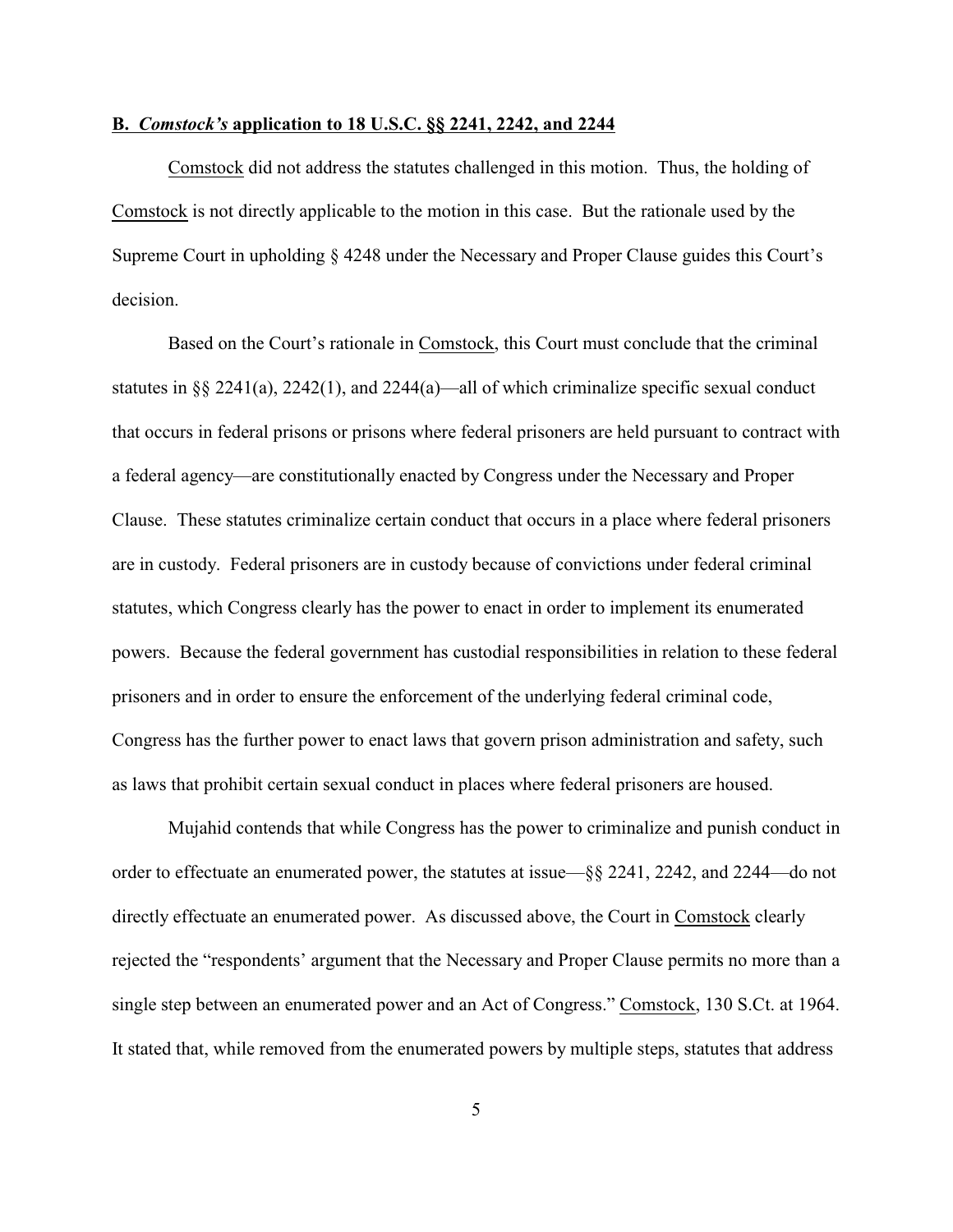## **B.** *Comstock's* **application to 18 U.S.C. §§ 2241, 2242, and 2244**

Comstock did not address the statutes challenged in this motion. Thus, the holding of Comstock is not directly applicable to the motion in this case. But the rationale used by the Supreme Court in upholding § 4248 under the Necessary and Proper Clause guides this Court's decision.

Based on the Court's rationale in Comstock, this Court must conclude that the criminal statutes in §§ 2241(a), 2242(1), and 2244(a)—all of which criminalize specific sexual conduct that occurs in federal prisons or prisons where federal prisoners are held pursuant to contract with a federal agency—are constitutionally enacted by Congress under the Necessary and Proper Clause. These statutes criminalize certain conduct that occurs in a place where federal prisoners are in custody. Federal prisoners are in custody because of convictions under federal criminal statutes, which Congress clearly has the power to enact in order to implement its enumerated powers. Because the federal government has custodial responsibilities in relation to these federal prisoners and in order to ensure the enforcement of the underlying federal criminal code, Congress has the further power to enact laws that govern prison administration and safety, such as laws that prohibit certain sexual conduct in places where federal prisoners are housed.

Mujahid contends that while Congress has the power to criminalize and punish conduct in order to effectuate an enumerated power, the statutes at issue—§§ 2241, 2242, and 2244—do not directly effectuate an enumerated power. As discussed above, the Court in Comstock clearly rejected the "respondents' argument that the Necessary and Proper Clause permits no more than a single step between an enumerated power and an Act of Congress." Comstock, 130 S.Ct. at 1964. It stated that, while removed from the enumerated powers by multiple steps, statutes that address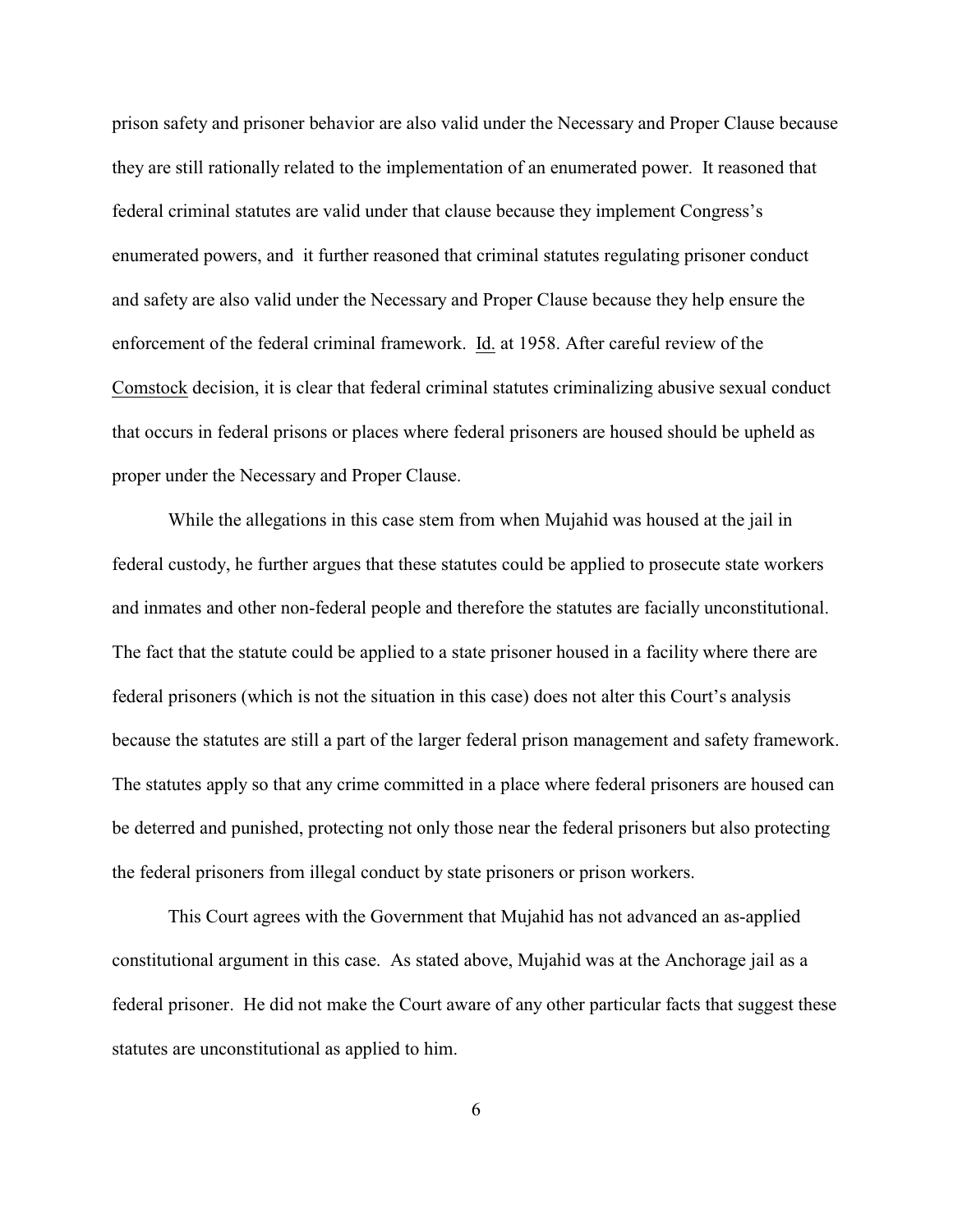prison safety and prisoner behavior are also valid under the Necessary and Proper Clause because they are still rationally related to the implementation of an enumerated power. It reasoned that federal criminal statutes are valid under that clause because they implement Congress's enumerated powers, and it further reasoned that criminal statutes regulating prisoner conduct and safety are also valid under the Necessary and Proper Clause because they help ensure the enforcement of the federal criminal framework. Id. at 1958. After careful review of the Comstock decision, it is clear that federal criminal statutes criminalizing abusive sexual conduct that occurs in federal prisons or places where federal prisoners are housed should be upheld as proper under the Necessary and Proper Clause.

While the allegations in this case stem from when Mujahid was housed at the jail in federal custody, he further argues that these statutes could be applied to prosecute state workers and inmates and other non-federal people and therefore the statutes are facially unconstitutional. The fact that the statute could be applied to a state prisoner housed in a facility where there are federal prisoners (which is not the situation in this case) does not alter this Court's analysis because the statutes are still a part of the larger federal prison management and safety framework. The statutes apply so that any crime committed in a place where federal prisoners are housed can be deterred and punished, protecting not only those near the federal prisoners but also protecting the federal prisoners from illegal conduct by state prisoners or prison workers.

This Court agrees with the Government that Mujahid has not advanced an as-applied constitutional argument in this case. As stated above, Mujahid was at the Anchorage jail as a federal prisoner. He did not make the Court aware of any other particular facts that suggest these statutes are unconstitutional as applied to him.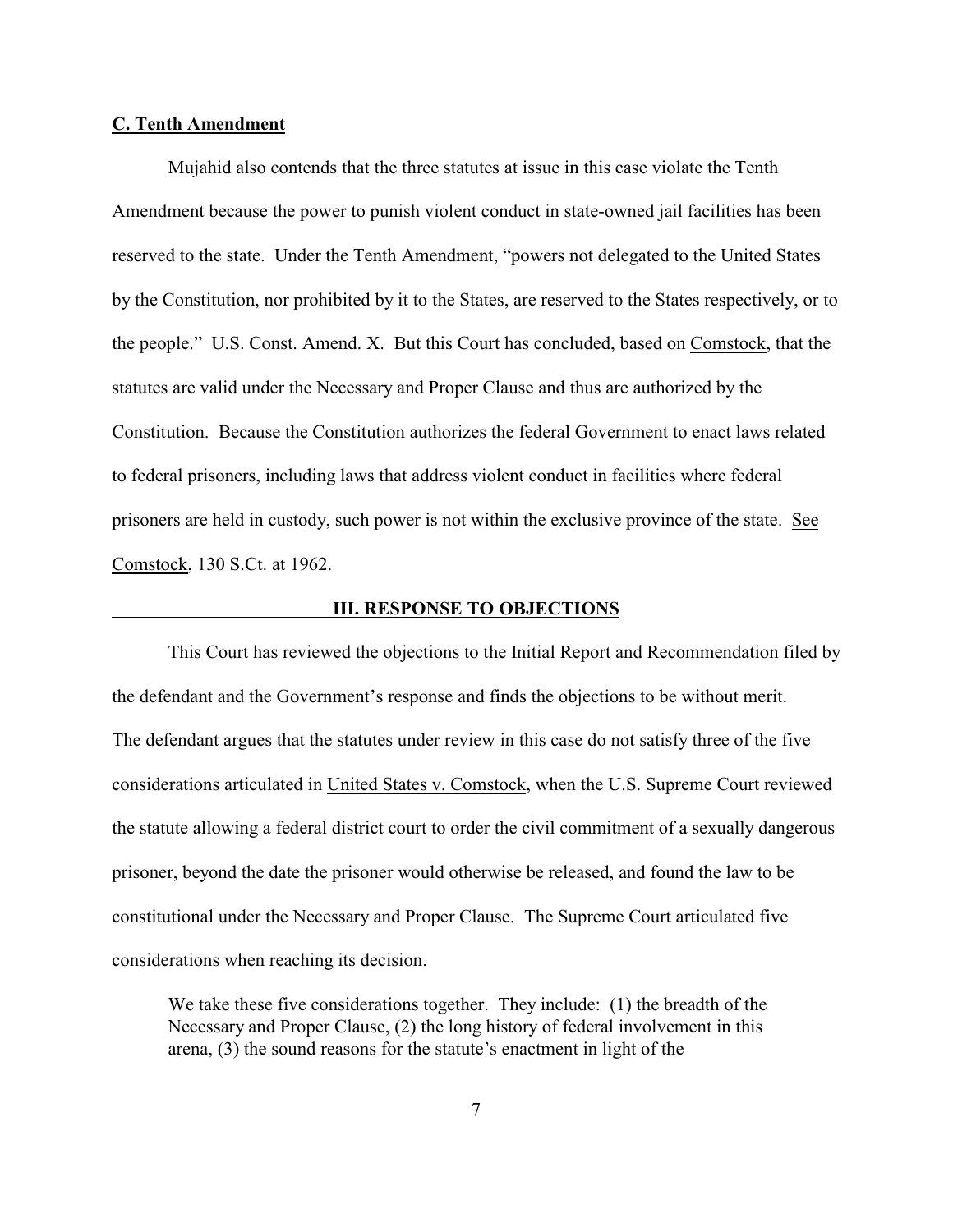#### **C. Tenth Amendment**

Mujahid also contends that the three statutes at issue in this case violate the Tenth Amendment because the power to punish violent conduct in state-owned jail facilities has been reserved to the state. Under the Tenth Amendment, "powers not delegated to the United States by the Constitution, nor prohibited by it to the States, are reserved to the States respectively, or to the people." U.S. Const. Amend. X. But this Court has concluded, based on Comstock, that the statutes are valid under the Necessary and Proper Clause and thus are authorized by the Constitution. Because the Constitution authorizes the federal Government to enact laws related to federal prisoners, including laws that address violent conduct in facilities where federal prisoners are held in custody, such power is not within the exclusive province of the state. See Comstock, 130 S.Ct. at 1962.

## **III. RESPONSE TO OBJECTIONS**

This Court has reviewed the objections to the Initial Report and Recommendation filed by the defendant and the Government's response and finds the objections to be without merit. The defendant argues that the statutes under review in this case do not satisfy three of the five considerations articulated in United States v. Comstock, when the U.S. Supreme Court reviewed the statute allowing a federal district court to order the civil commitment of a sexually dangerous prisoner, beyond the date the prisoner would otherwise be released, and found the law to be constitutional under the Necessary and Proper Clause. The Supreme Court articulated five considerations when reaching its decision.

We take these five considerations together. They include: (1) the breadth of the Necessary and Proper Clause, (2) the long history of federal involvement in this arena, (3) the sound reasons for the statute's enactment in light of the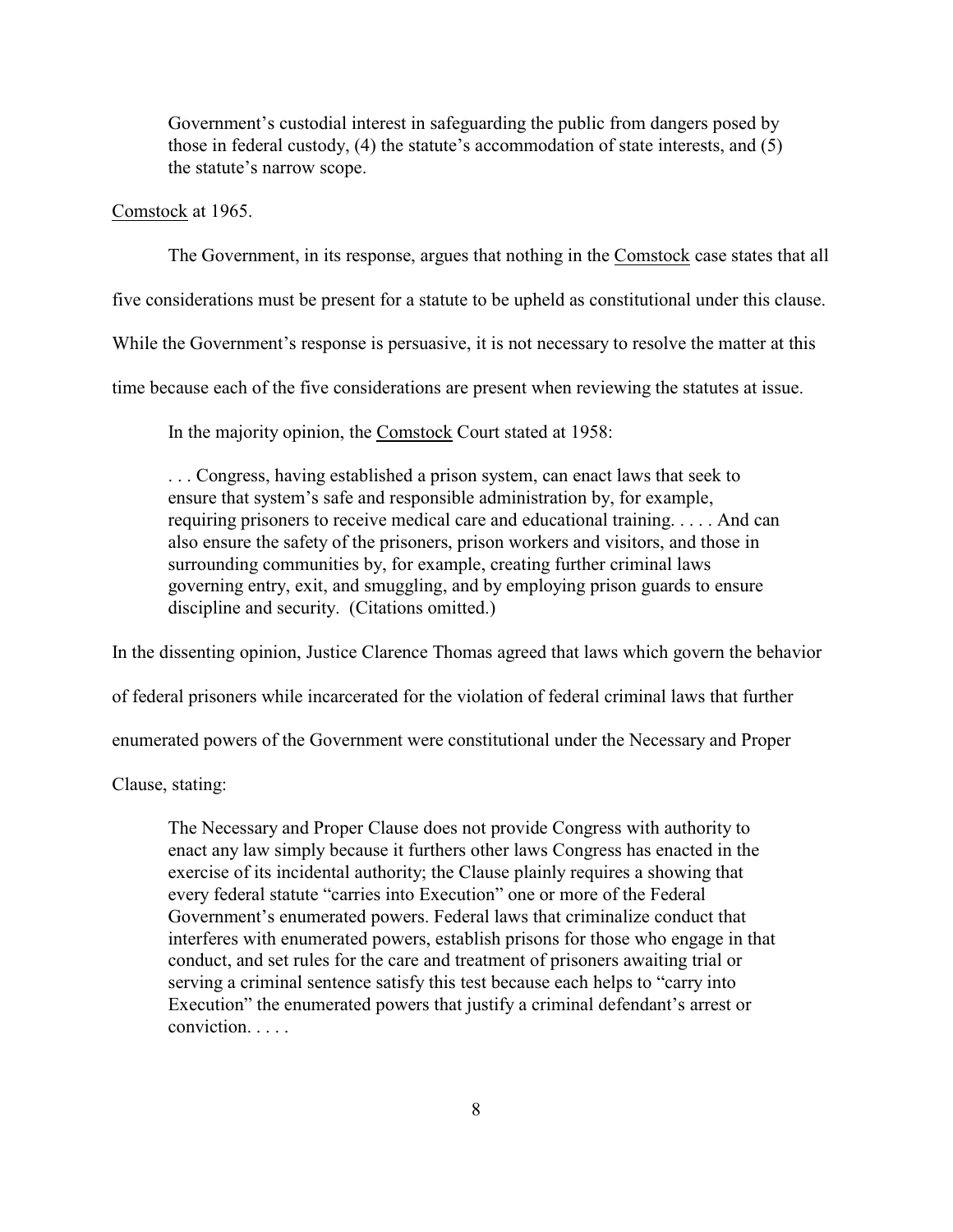Government's custodial interest in safeguarding the public from dangers posed by those in federal custody, (4) the statute's accommodation of state interests, and (5) the statute's narrow scope.

Comstock at 1965.

The Government, in its response, argues that nothing in the Comstock case states that all

five considerations must be present for a statute to be upheld as constitutional under this clause.

While the Government's response is persuasive, it is not necessary to resolve the matter at this

time because each of the five considerations are present when reviewing the statutes at issue.

In the majority opinion, the Comstock Court stated at 1958:

. . . Congress, having established a prison system, can enact laws that seek to ensure that system's safe and responsible administration by, for example, requiring prisoners to receive medical care and educational training. . . . . And can also ensure the safety of the prisoners, prison workers and visitors, and those in surrounding communities by, for example, creating further criminal laws governing entry, exit, and smuggling, and by employing prison guards to ensure discipline and security. (Citations omitted.)

In the dissenting opinion, Justice Clarence Thomas agreed that laws which govern the behavior

of federal prisoners while incarcerated for the violation of federal criminal laws that further

enumerated powers of the Government were constitutional under the Necessary and Proper

Clause, stating:

The Necessary and Proper Clause does not provide Congress with authority to enact any law simply because it furthers other laws Congress has enacted in the exercise of its incidental authority; the Clause plainly requires a showing that every federal statute "carries into Execution" one or more of the Federal Government's enumerated powers. Federal laws that criminalize conduct that interferes with enumerated powers, establish prisons for those who engage in that conduct, and set rules for the care and treatment of prisoners awaiting trial or serving a criminal sentence satisfy this test because each helps to "carry into Execution" the enumerated powers that justify a criminal defendant's arrest or conviction. . . . .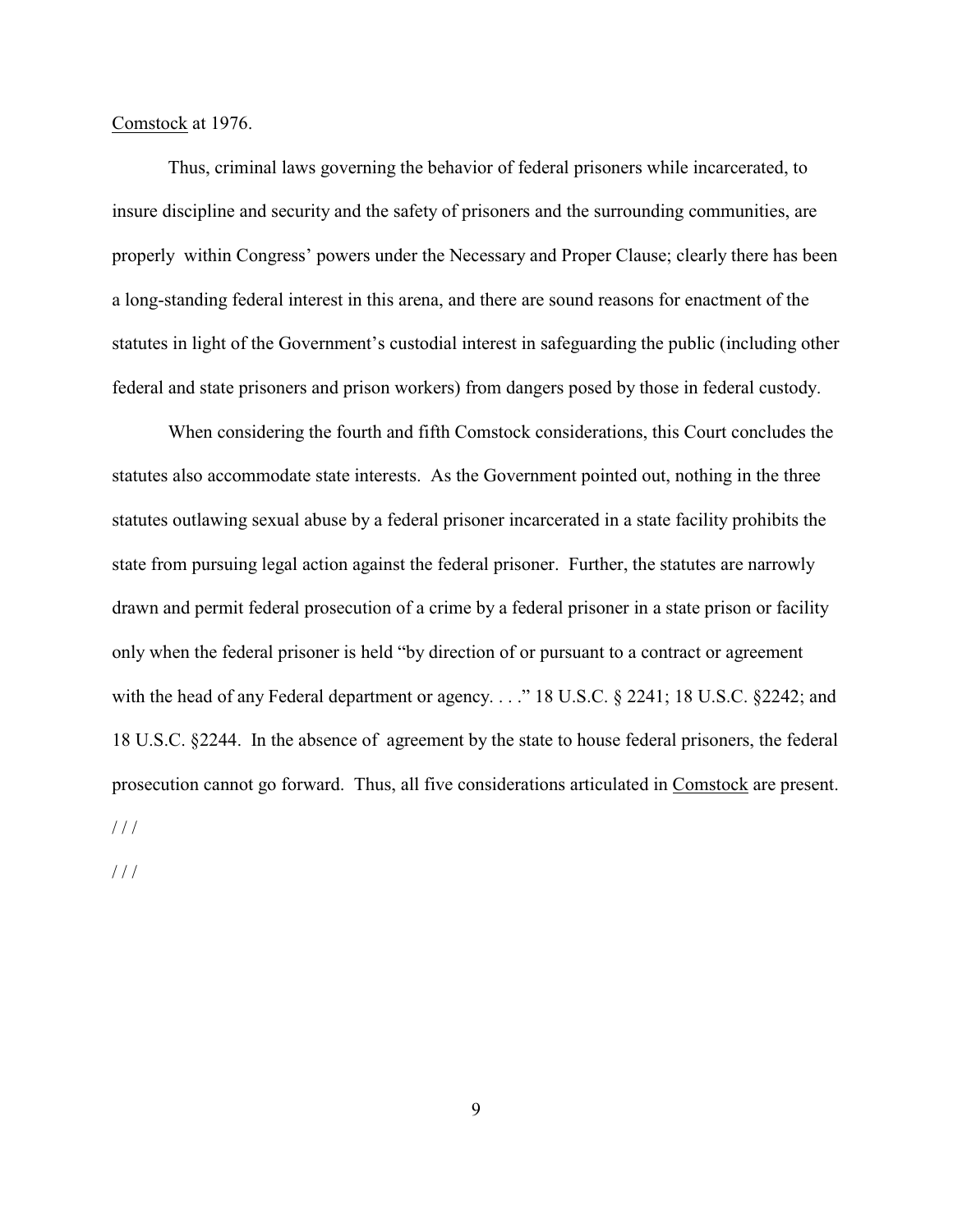Comstock at 1976.

Thus, criminal laws governing the behavior of federal prisoners while incarcerated, to insure discipline and security and the safety of prisoners and the surrounding communities, are properly within Congress' powers under the Necessary and Proper Clause; clearly there has been a long-standing federal interest in this arena, and there are sound reasons for enactment of the statutes in light of the Government's custodial interest in safeguarding the public (including other federal and state prisoners and prison workers) from dangers posed by those in federal custody.

When considering the fourth and fifth Comstock considerations, this Court concludes the statutes also accommodate state interests. As the Government pointed out, nothing in the three statutes outlawing sexual abuse by a federal prisoner incarcerated in a state facility prohibits the state from pursuing legal action against the federal prisoner. Further, the statutes are narrowly drawn and permit federal prosecution of a crime by a federal prisoner in a state prison or facility only when the federal prisoner is held "by direction of or pursuant to a contract or agreement with the head of any Federal department or agency. . . ." 18 U.S.C. § 2241; 18 U.S.C. § 2242; and 18 U.S.C. §2244. In the absence of agreement by the state to house federal prisoners, the federal prosecution cannot go forward. Thus, all five considerations articulated in Comstock are present.  $/ / /$ 

/ / /